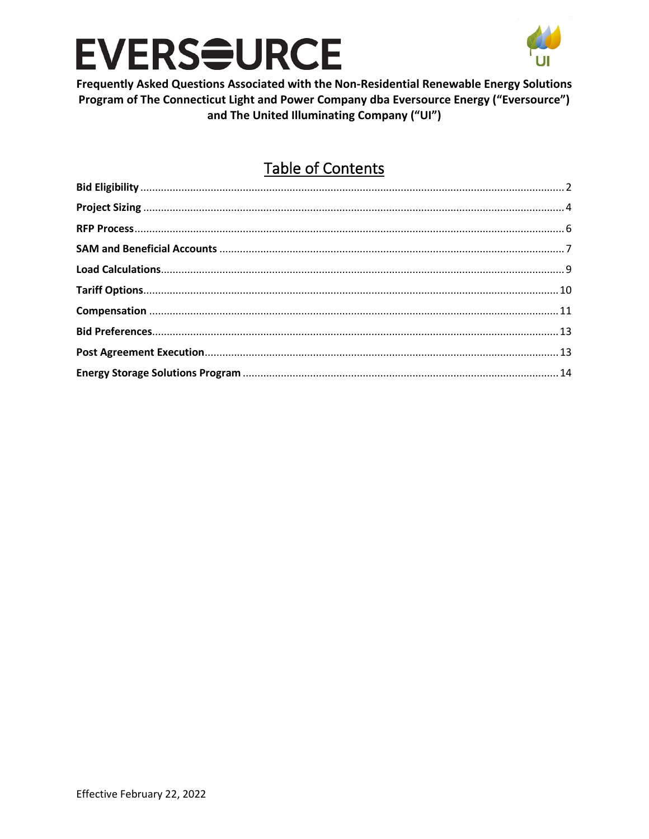

Frequently Asked Questions Associated with the Non-Residential Renewable Energy Solutions Program of The Connecticut Light and Power Company dba Eversource Energy ("Eversource") and The United Illuminating Company ("UI")

#### **Table of Contents**

<span id="page-0-0"></span>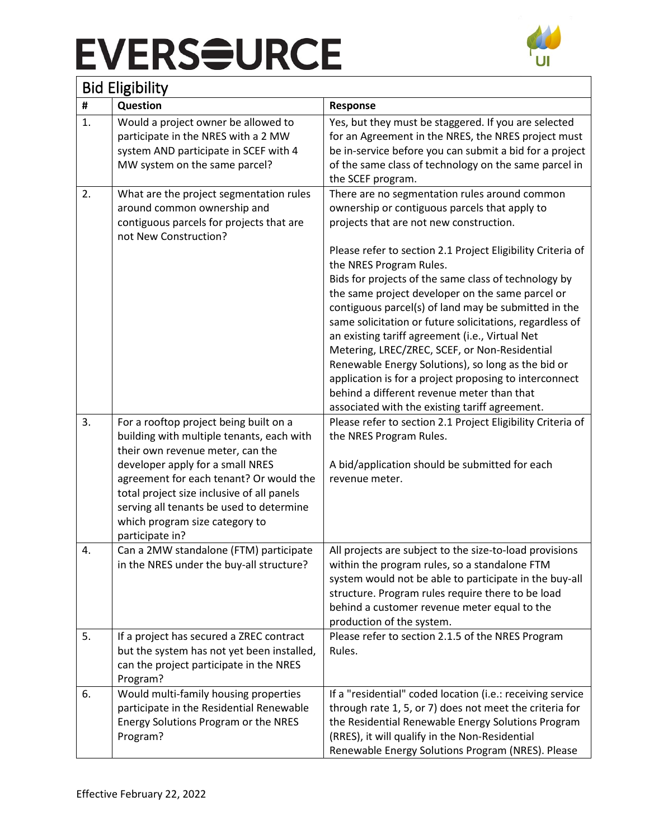

٦

|    | <b>Bid Eligibility</b>                                                                                                                                                                                                                                                                                                                                |                                                                                                                                                                                                                                                                                                                                                                                                                                                                                                                                                                                                                                                                                                                                                                                         |  |
|----|-------------------------------------------------------------------------------------------------------------------------------------------------------------------------------------------------------------------------------------------------------------------------------------------------------------------------------------------------------|-----------------------------------------------------------------------------------------------------------------------------------------------------------------------------------------------------------------------------------------------------------------------------------------------------------------------------------------------------------------------------------------------------------------------------------------------------------------------------------------------------------------------------------------------------------------------------------------------------------------------------------------------------------------------------------------------------------------------------------------------------------------------------------------|--|
| #  | Question                                                                                                                                                                                                                                                                                                                                              | Response                                                                                                                                                                                                                                                                                                                                                                                                                                                                                                                                                                                                                                                                                                                                                                                |  |
| 1. | Would a project owner be allowed to<br>participate in the NRES with a 2 MW<br>system AND participate in SCEF with 4<br>MW system on the same parcel?                                                                                                                                                                                                  | Yes, but they must be staggered. If you are selected<br>for an Agreement in the NRES, the NRES project must<br>be in-service before you can submit a bid for a project<br>of the same class of technology on the same parcel in<br>the SCEF program.                                                                                                                                                                                                                                                                                                                                                                                                                                                                                                                                    |  |
| 2. | What are the project segmentation rules<br>around common ownership and<br>contiguous parcels for projects that are<br>not New Construction?                                                                                                                                                                                                           | There are no segmentation rules around common<br>ownership or contiguous parcels that apply to<br>projects that are not new construction.<br>Please refer to section 2.1 Project Eligibility Criteria of<br>the NRES Program Rules.<br>Bids for projects of the same class of technology by<br>the same project developer on the same parcel or<br>contiguous parcel(s) of land may be submitted in the<br>same solicitation or future solicitations, regardless of<br>an existing tariff agreement (i.e., Virtual Net<br>Metering, LREC/ZREC, SCEF, or Non-Residential<br>Renewable Energy Solutions), so long as the bid or<br>application is for a project proposing to interconnect<br>behind a different revenue meter than that<br>associated with the existing tariff agreement. |  |
| 3. | For a rooftop project being built on a<br>building with multiple tenants, each with<br>their own revenue meter, can the<br>developer apply for a small NRES<br>agreement for each tenant? Or would the<br>total project size inclusive of all panels<br>serving all tenants be used to determine<br>which program size category to<br>participate in? | Please refer to section 2.1 Project Eligibility Criteria of<br>the NRES Program Rules.<br>A bid/application should be submitted for each<br>revenue meter.                                                                                                                                                                                                                                                                                                                                                                                                                                                                                                                                                                                                                              |  |
| 4. | Can a 2MW standalone (FTM) participate<br>in the NRES under the buy-all structure?                                                                                                                                                                                                                                                                    | All projects are subject to the size-to-load provisions<br>within the program rules, so a standalone FTM<br>system would not be able to participate in the buy-all<br>structure. Program rules require there to be load<br>behind a customer revenue meter equal to the<br>production of the system.                                                                                                                                                                                                                                                                                                                                                                                                                                                                                    |  |
| 5. | If a project has secured a ZREC contract<br>but the system has not yet been installed,<br>can the project participate in the NRES<br>Program?                                                                                                                                                                                                         | Please refer to section 2.1.5 of the NRES Program<br>Rules.                                                                                                                                                                                                                                                                                                                                                                                                                                                                                                                                                                                                                                                                                                                             |  |
| 6. | Would multi-family housing properties<br>participate in the Residential Renewable<br>Energy Solutions Program or the NRES<br>Program?                                                                                                                                                                                                                 | If a "residential" coded location (i.e.: receiving service<br>through rate 1, 5, or 7) does not meet the criteria for<br>the Residential Renewable Energy Solutions Program<br>(RRES), it will qualify in the Non-Residential<br>Renewable Energy Solutions Program (NRES). Please                                                                                                                                                                                                                                                                                                                                                                                                                                                                                                      |  |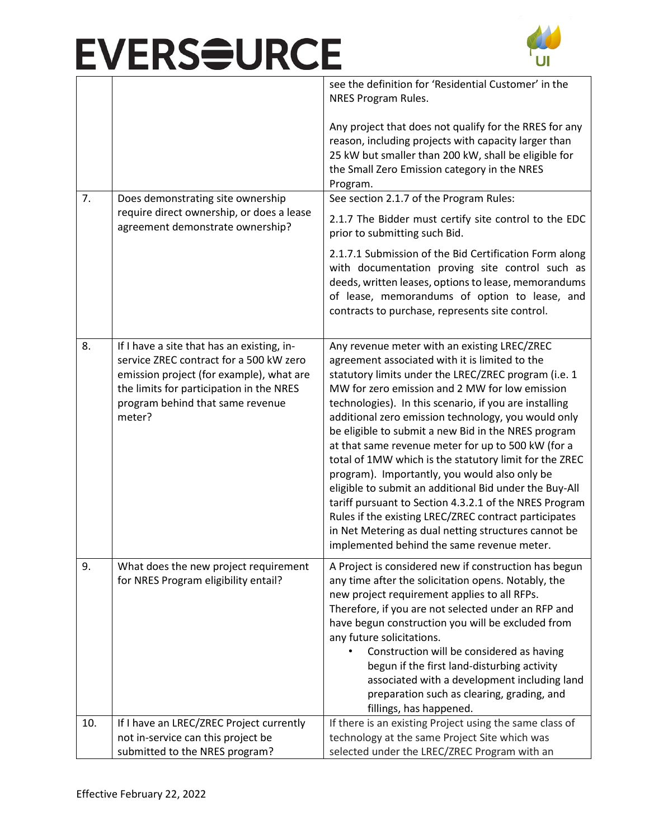

|     |                                                                                                                                                                                                                             | see the definition for 'Residential Customer' in the                                                                                                                                                                                                                                                                                                                                                                                                                                                                                                                                                                                                                                                                                                                                                                                 |
|-----|-----------------------------------------------------------------------------------------------------------------------------------------------------------------------------------------------------------------------------|--------------------------------------------------------------------------------------------------------------------------------------------------------------------------------------------------------------------------------------------------------------------------------------------------------------------------------------------------------------------------------------------------------------------------------------------------------------------------------------------------------------------------------------------------------------------------------------------------------------------------------------------------------------------------------------------------------------------------------------------------------------------------------------------------------------------------------------|
|     |                                                                                                                                                                                                                             | NRES Program Rules.                                                                                                                                                                                                                                                                                                                                                                                                                                                                                                                                                                                                                                                                                                                                                                                                                  |
|     |                                                                                                                                                                                                                             | Any project that does not qualify for the RRES for any<br>reason, including projects with capacity larger than<br>25 kW but smaller than 200 kW, shall be eligible for<br>the Small Zero Emission category in the NRES<br>Program.                                                                                                                                                                                                                                                                                                                                                                                                                                                                                                                                                                                                   |
| 7.  | Does demonstrating site ownership                                                                                                                                                                                           | See section 2.1.7 of the Program Rules:                                                                                                                                                                                                                                                                                                                                                                                                                                                                                                                                                                                                                                                                                                                                                                                              |
|     | require direct ownership, or does a lease<br>agreement demonstrate ownership?                                                                                                                                               | 2.1.7 The Bidder must certify site control to the EDC<br>prior to submitting such Bid.                                                                                                                                                                                                                                                                                                                                                                                                                                                                                                                                                                                                                                                                                                                                               |
|     |                                                                                                                                                                                                                             | 2.1.7.1 Submission of the Bid Certification Form along<br>with documentation proving site control such as<br>deeds, written leases, options to lease, memorandums<br>of lease, memorandums of option to lease, and<br>contracts to purchase, represents site control.                                                                                                                                                                                                                                                                                                                                                                                                                                                                                                                                                                |
| 8.  | If I have a site that has an existing, in-<br>service ZREC contract for a 500 kW zero<br>emission project (for example), what are<br>the limits for participation in the NRES<br>program behind that same revenue<br>meter? | Any revenue meter with an existing LREC/ZREC<br>agreement associated with it is limited to the<br>statutory limits under the LREC/ZREC program (i.e. 1<br>MW for zero emission and 2 MW for low emission<br>technologies). In this scenario, if you are installing<br>additional zero emission technology, you would only<br>be eligible to submit a new Bid in the NRES program<br>at that same revenue meter for up to 500 kW (for a<br>total of 1MW which is the statutory limit for the ZREC<br>program). Importantly, you would also only be<br>eligible to submit an additional Bid under the Buy-All<br>tariff pursuant to Section 4.3.2.1 of the NRES Program<br>Rules if the existing LREC/ZREC contract participates<br>in Net Metering as dual netting structures cannot be<br>implemented behind the same revenue meter. |
| 9.  | What does the new project requirement<br>for NRES Program eligibility entail?                                                                                                                                               | A Project is considered new if construction has begun<br>any time after the solicitation opens. Notably, the<br>new project requirement applies to all RFPs.<br>Therefore, if you are not selected under an RFP and<br>have begun construction you will be excluded from<br>any future solicitations.<br>Construction will be considered as having<br>begun if the first land-disturbing activity<br>associated with a development including land<br>preparation such as clearing, grading, and<br>fillings, has happened.                                                                                                                                                                                                                                                                                                           |
| 10. | If I have an LREC/ZREC Project currently                                                                                                                                                                                    | If there is an existing Project using the same class of                                                                                                                                                                                                                                                                                                                                                                                                                                                                                                                                                                                                                                                                                                                                                                              |
|     | not in-service can this project be                                                                                                                                                                                          | technology at the same Project Site which was                                                                                                                                                                                                                                                                                                                                                                                                                                                                                                                                                                                                                                                                                                                                                                                        |
|     | submitted to the NRES program?                                                                                                                                                                                              | selected under the LREC/ZREC Program with an                                                                                                                                                                                                                                                                                                                                                                                                                                                                                                                                                                                                                                                                                                                                                                                         |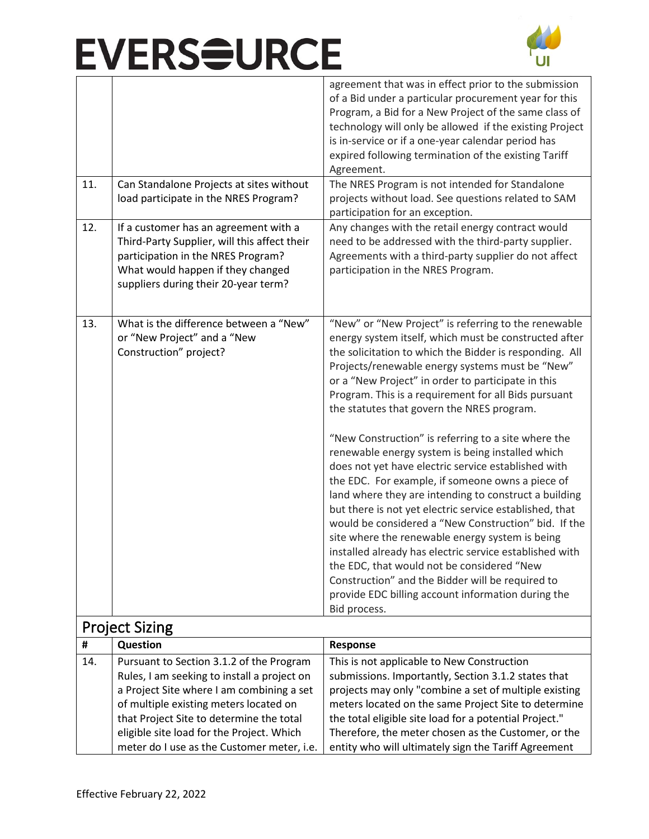

<span id="page-3-0"></span>

|     |                                                                                                                                                                                                                                                                                                                       | agreement that was in effect prior to the submission<br>of a Bid under a particular procurement year for this<br>Program, a Bid for a New Project of the same class of<br>technology will only be allowed if the existing Project<br>is in-service or if a one-year calendar period has<br>expired following termination of the existing Tariff<br>Agreement.                                                                                                                                                                                                                                                                                                                                                                                                                             |
|-----|-----------------------------------------------------------------------------------------------------------------------------------------------------------------------------------------------------------------------------------------------------------------------------------------------------------------------|-------------------------------------------------------------------------------------------------------------------------------------------------------------------------------------------------------------------------------------------------------------------------------------------------------------------------------------------------------------------------------------------------------------------------------------------------------------------------------------------------------------------------------------------------------------------------------------------------------------------------------------------------------------------------------------------------------------------------------------------------------------------------------------------|
| 11. | Can Standalone Projects at sites without<br>load participate in the NRES Program?                                                                                                                                                                                                                                     | The NRES Program is not intended for Standalone<br>projects without load. See questions related to SAM<br>participation for an exception.                                                                                                                                                                                                                                                                                                                                                                                                                                                                                                                                                                                                                                                 |
| 12. | If a customer has an agreement with a<br>Third-Party Supplier, will this affect their<br>participation in the NRES Program?<br>What would happen if they changed<br>suppliers during their 20-year term?                                                                                                              | Any changes with the retail energy contract would<br>need to be addressed with the third-party supplier.<br>Agreements with a third-party supplier do not affect<br>participation in the NRES Program.                                                                                                                                                                                                                                                                                                                                                                                                                                                                                                                                                                                    |
| 13. | What is the difference between a "New"<br>or "New Project" and a "New<br>Construction" project?                                                                                                                                                                                                                       | "New" or "New Project" is referring to the renewable<br>energy system itself, which must be constructed after<br>the solicitation to which the Bidder is responding. All<br>Projects/renewable energy systems must be "New"<br>or a "New Project" in order to participate in this<br>Program. This is a requirement for all Bids pursuant<br>the statutes that govern the NRES program.<br>"New Construction" is referring to a site where the<br>renewable energy system is being installed which<br>does not yet have electric service established with<br>the EDC. For example, if someone owns a piece of<br>land where they are intending to construct a building<br>but there is not yet electric service established, that<br>would be considered a "New Construction" bid. If the |
|     |                                                                                                                                                                                                                                                                                                                       | site where the renewable energy system is being<br>installed already has electric service established with<br>the EDC, that would not be considered "New<br>Construction" and the Bidder will be required to<br>provide EDC billing account information during the<br>Bid process.                                                                                                                                                                                                                                                                                                                                                                                                                                                                                                        |
|     | <b>Project Sizing</b>                                                                                                                                                                                                                                                                                                 |                                                                                                                                                                                                                                                                                                                                                                                                                                                                                                                                                                                                                                                                                                                                                                                           |
| #   | Question                                                                                                                                                                                                                                                                                                              | Response                                                                                                                                                                                                                                                                                                                                                                                                                                                                                                                                                                                                                                                                                                                                                                                  |
| 14. | Pursuant to Section 3.1.2 of the Program<br>Rules, I am seeking to install a project on<br>a Project Site where I am combining a set<br>of multiple existing meters located on<br>that Project Site to determine the total<br>eligible site load for the Project. Which<br>meter do I use as the Customer meter, i.e. | This is not applicable to New Construction<br>submissions. Importantly, Section 3.1.2 states that<br>projects may only "combine a set of multiple existing<br>meters located on the same Project Site to determine<br>the total eligible site load for a potential Project."<br>Therefore, the meter chosen as the Customer, or the<br>entity who will ultimately sign the Tariff Agreement                                                                                                                                                                                                                                                                                                                                                                                               |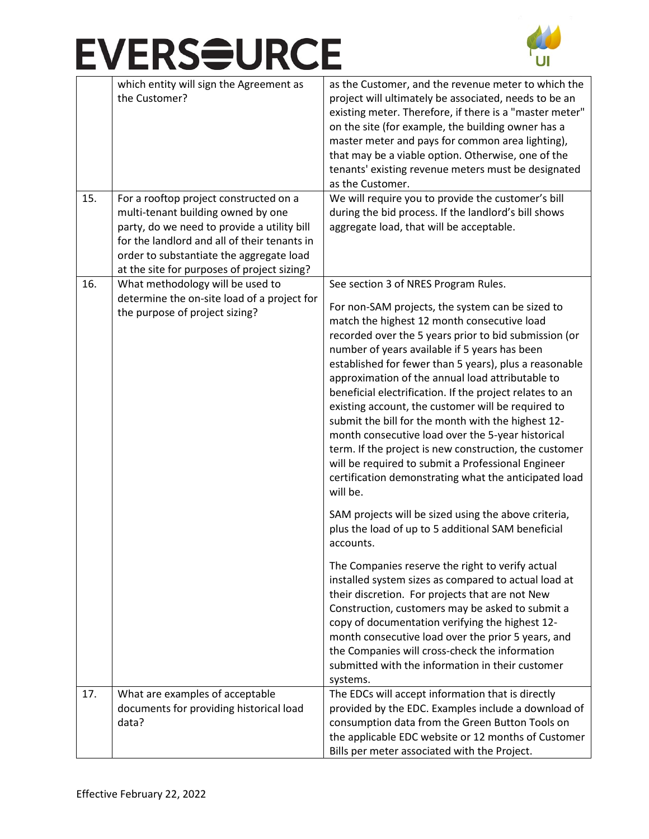

|     | which entity will sign the Agreement as<br>the Customer?                                                                                                                                                                                                               | as the Customer, and the revenue meter to which the<br>project will ultimately be associated, needs to be an<br>existing meter. Therefore, if there is a "master meter"<br>on the site (for example, the building owner has a<br>master meter and pays for common area lighting),<br>that may be a viable option. Otherwise, one of the<br>tenants' existing revenue meters must be designated<br>as the Customer.                                                                                                                                                                                                                                                                                                                                                                |
|-----|------------------------------------------------------------------------------------------------------------------------------------------------------------------------------------------------------------------------------------------------------------------------|-----------------------------------------------------------------------------------------------------------------------------------------------------------------------------------------------------------------------------------------------------------------------------------------------------------------------------------------------------------------------------------------------------------------------------------------------------------------------------------------------------------------------------------------------------------------------------------------------------------------------------------------------------------------------------------------------------------------------------------------------------------------------------------|
| 15. | For a rooftop project constructed on a<br>multi-tenant building owned by one<br>party, do we need to provide a utility bill<br>for the landlord and all of their tenants in<br>order to substantiate the aggregate load<br>at the site for purposes of project sizing? | We will require you to provide the customer's bill<br>during the bid process. If the landlord's bill shows<br>aggregate load, that will be acceptable.                                                                                                                                                                                                                                                                                                                                                                                                                                                                                                                                                                                                                            |
| 16. | What methodology will be used to<br>determine the on-site load of a project for<br>the purpose of project sizing?                                                                                                                                                      | See section 3 of NRES Program Rules.<br>For non-SAM projects, the system can be sized to<br>match the highest 12 month consecutive load<br>recorded over the 5 years prior to bid submission (or<br>number of years available if 5 years has been<br>established for fewer than 5 years), plus a reasonable<br>approximation of the annual load attributable to<br>beneficial electrification. If the project relates to an<br>existing account, the customer will be required to<br>submit the bill for the month with the highest 12-<br>month consecutive load over the 5-year historical<br>term. If the project is new construction, the customer<br>will be required to submit a Professional Engineer<br>certification demonstrating what the anticipated load<br>will be. |
|     |                                                                                                                                                                                                                                                                        | SAM projects will be sized using the above criteria,<br>plus the load of up to 5 additional SAM beneficial<br>accounts.                                                                                                                                                                                                                                                                                                                                                                                                                                                                                                                                                                                                                                                           |
|     |                                                                                                                                                                                                                                                                        | The Companies reserve the right to verify actual<br>installed system sizes as compared to actual load at<br>their discretion. For projects that are not New<br>Construction, customers may be asked to submit a<br>copy of documentation verifying the highest 12-<br>month consecutive load over the prior 5 years, and<br>the Companies will cross-check the information<br>submitted with the information in their customer<br>systems.                                                                                                                                                                                                                                                                                                                                        |
| 17. | What are examples of acceptable<br>documents for providing historical load<br>data?                                                                                                                                                                                    | The EDCs will accept information that is directly<br>provided by the EDC. Examples include a download of<br>consumption data from the Green Button Tools on<br>the applicable EDC website or 12 months of Customer<br>Bills per meter associated with the Project.                                                                                                                                                                                                                                                                                                                                                                                                                                                                                                                |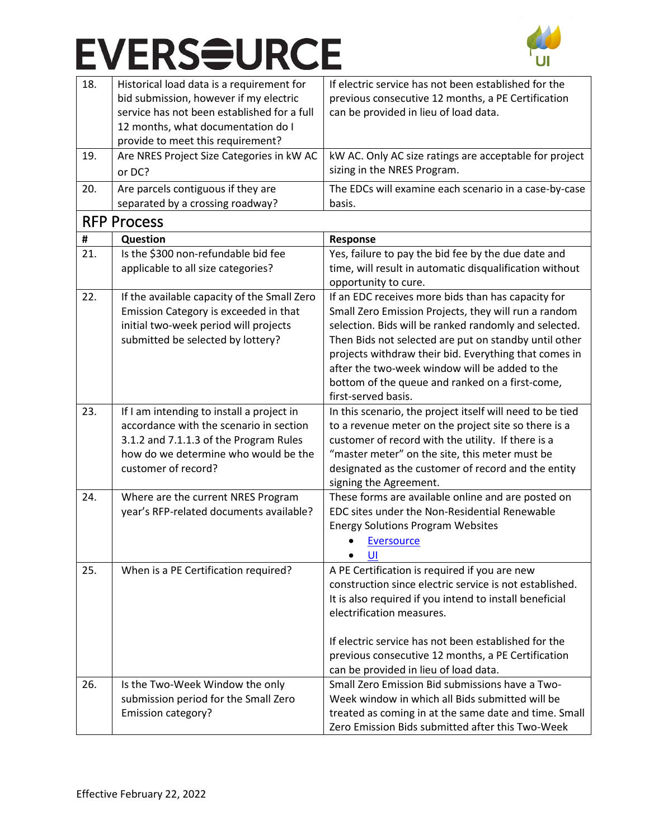

<span id="page-5-0"></span>

| 18. | Historical load data is a requirement for<br>bid submission, however if my electric<br>service has not been established for a full<br>12 months, what documentation do I<br>provide to meet this requirement? | If electric service has not been established for the<br>previous consecutive 12 months, a PE Certification<br>can be provided in lieu of load data.                                                                                                                                                                                                                                                               |
|-----|---------------------------------------------------------------------------------------------------------------------------------------------------------------------------------------------------------------|-------------------------------------------------------------------------------------------------------------------------------------------------------------------------------------------------------------------------------------------------------------------------------------------------------------------------------------------------------------------------------------------------------------------|
| 19. | Are NRES Project Size Categories in kW AC<br>or DC?                                                                                                                                                           | kW AC. Only AC size ratings are acceptable for project<br>sizing in the NRES Program.                                                                                                                                                                                                                                                                                                                             |
| 20. | Are parcels contiguous if they are<br>separated by a crossing roadway?                                                                                                                                        | The EDCs will examine each scenario in a case-by-case<br>basis.                                                                                                                                                                                                                                                                                                                                                   |
|     | <b>RFP Process</b>                                                                                                                                                                                            |                                                                                                                                                                                                                                                                                                                                                                                                                   |
| #   | Question                                                                                                                                                                                                      | Response                                                                                                                                                                                                                                                                                                                                                                                                          |
| 21. | Is the \$300 non-refundable bid fee<br>applicable to all size categories?                                                                                                                                     | Yes, failure to pay the bid fee by the due date and<br>time, will result in automatic disqualification without<br>opportunity to cure.                                                                                                                                                                                                                                                                            |
| 22. | If the available capacity of the Small Zero<br>Emission Category is exceeded in that<br>initial two-week period will projects<br>submitted be selected by lottery?                                            | If an EDC receives more bids than has capacity for<br>Small Zero Emission Projects, they will run a random<br>selection. Bids will be ranked randomly and selected.<br>Then Bids not selected are put on standby until other<br>projects withdraw their bid. Everything that comes in<br>after the two-week window will be added to the<br>bottom of the queue and ranked on a first-come,<br>first-served basis. |
| 23. | If I am intending to install a project in<br>accordance with the scenario in section<br>3.1.2 and 7.1.1.3 of the Program Rules<br>how do we determine who would be the<br>customer of record?                 | In this scenario, the project itself will need to be tied<br>to a revenue meter on the project site so there is a<br>customer of record with the utility. If there is a<br>"master meter" on the site, this meter must be<br>designated as the customer of record and the entity<br>signing the Agreement.                                                                                                        |
| 24. | Where are the current NRES Program<br>year's RFP-related documents available?                                                                                                                                 | These forms are available online and are posted on<br>EDC sites under the Non-Residential Renewable<br><b>Energy Solutions Program Websites</b><br><b>Eversource</b><br>UI                                                                                                                                                                                                                                        |
| 25. | When is a PE Certification required?                                                                                                                                                                          | A PE Certification is required if you are new<br>construction since electric service is not established.<br>It is also required if you intend to install beneficial<br>electrification measures.<br>If electric service has not been established for the<br>previous consecutive 12 months, a PE Certification<br>can be provided in lieu of load data.                                                           |
| 26. | Is the Two-Week Window the only<br>submission period for the Small Zero<br>Emission category?                                                                                                                 | Small Zero Emission Bid submissions have a Two-<br>Week window in which all Bids submitted will be<br>treated as coming in at the same date and time. Small<br>Zero Emission Bids submitted after this Two-Week                                                                                                                                                                                                   |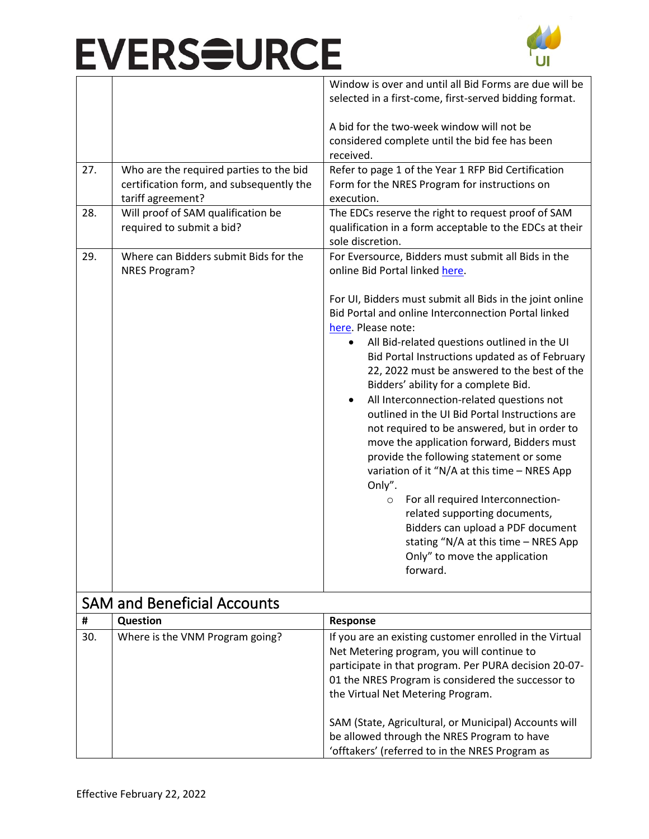

<span id="page-6-0"></span>

|     |                                                         | Window is over and until all Bid Forms are due will be                                                          |
|-----|---------------------------------------------------------|-----------------------------------------------------------------------------------------------------------------|
|     |                                                         | selected in a first-come, first-served bidding format.                                                          |
|     |                                                         | A bid for the two-week window will not be                                                                       |
|     |                                                         | considered complete until the bid fee has been                                                                  |
|     |                                                         | received.                                                                                                       |
| 27. | Who are the required parties to the bid                 | Refer to page 1 of the Year 1 RFP Bid Certification                                                             |
|     | certification form, and subsequently the                | Form for the NRES Program for instructions on                                                                   |
|     |                                                         | execution.                                                                                                      |
| 28. | tariff agreement?<br>Will proof of SAM qualification be |                                                                                                                 |
|     |                                                         | The EDCs reserve the right to request proof of SAM                                                              |
|     | required to submit a bid?                               | qualification in a form acceptable to the EDCs at their<br>sole discretion.                                     |
| 29. | Where can Bidders submit Bids for the                   |                                                                                                                 |
|     |                                                         | For Eversource, Bidders must submit all Bids in the                                                             |
|     | NRES Program?                                           | online Bid Portal linked here.                                                                                  |
|     |                                                         |                                                                                                                 |
|     |                                                         | For UI, Bidders must submit all Bids in the joint online<br>Bid Portal and online Interconnection Portal linked |
|     |                                                         |                                                                                                                 |
|     |                                                         | here. Please note:                                                                                              |
|     |                                                         | All Bid-related questions outlined in the UI<br>$\bullet$                                                       |
|     |                                                         | Bid Portal Instructions updated as of February                                                                  |
|     |                                                         | 22, 2022 must be answered to the best of the                                                                    |
|     |                                                         | Bidders' ability for a complete Bid.                                                                            |
|     |                                                         | All Interconnection-related questions not<br>$\bullet$                                                          |
|     |                                                         | outlined in the UI Bid Portal Instructions are                                                                  |
|     |                                                         | not required to be answered, but in order to                                                                    |
|     |                                                         | move the application forward, Bidders must                                                                      |
|     |                                                         | provide the following statement or some                                                                         |
|     |                                                         | variation of it "N/A at this time - NRES App                                                                    |
|     |                                                         | Only".                                                                                                          |
|     |                                                         | For all required Interconnection-<br>$\circ$                                                                    |
|     |                                                         | related supporting documents,                                                                                   |
|     |                                                         | Bidders can upload a PDF document                                                                               |
|     |                                                         | stating "N/A at this time - NRES App                                                                            |
|     |                                                         | Only" to move the application                                                                                   |
|     |                                                         | forward.                                                                                                        |
|     |                                                         |                                                                                                                 |
|     | <b>SAM and Beneficial Accounts</b>                      |                                                                                                                 |
| #   | Question                                                | Response                                                                                                        |
| 30. | Where is the VNM Program going?                         | If you are an existing customer enrolled in the Virtual                                                         |
|     |                                                         | Net Metering program, you will continue to                                                                      |
|     |                                                         | participate in that program. Per PURA decision 20-07-                                                           |
|     |                                                         | 01 the NRES Program is considered the successor to                                                              |
|     |                                                         | the Virtual Net Metering Program.                                                                               |
|     |                                                         | SAM (State, Agricultural, or Municipal) Accounts will                                                           |
|     |                                                         | be allowed through the NRES Program to have                                                                     |
|     |                                                         | 'offtakers' (referred to in the NRES Program as                                                                 |
|     |                                                         |                                                                                                                 |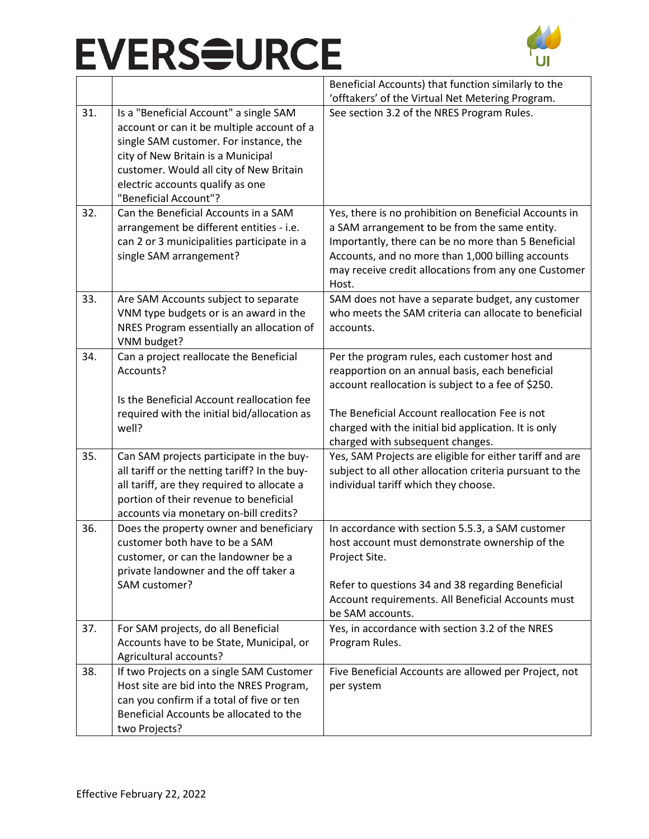

|     |                                                                                                                                                                                                                                                                              | Beneficial Accounts) that function similarly to the<br>'offtakers' of the Virtual Net Metering Program.                                                                                                                                                                                              |
|-----|------------------------------------------------------------------------------------------------------------------------------------------------------------------------------------------------------------------------------------------------------------------------------|------------------------------------------------------------------------------------------------------------------------------------------------------------------------------------------------------------------------------------------------------------------------------------------------------|
| 31. | Is a "Beneficial Account" a single SAM<br>account or can it be multiple account of a<br>single SAM customer. For instance, the<br>city of New Britain is a Municipal<br>customer. Would all city of New Britain<br>electric accounts qualify as one<br>"Beneficial Account"? | See section 3.2 of the NRES Program Rules.                                                                                                                                                                                                                                                           |
| 32. | Can the Beneficial Accounts in a SAM<br>arrangement be different entities - i.e.<br>can 2 or 3 municipalities participate in a<br>single SAM arrangement?                                                                                                                    | Yes, there is no prohibition on Beneficial Accounts in<br>a SAM arrangement to be from the same entity.<br>Importantly, there can be no more than 5 Beneficial<br>Accounts, and no more than 1,000 billing accounts<br>may receive credit allocations from any one Customer<br>Host.                 |
| 33. | Are SAM Accounts subject to separate<br>VNM type budgets or is an award in the<br>NRES Program essentially an allocation of<br>VNM budget?                                                                                                                                   | SAM does not have a separate budget, any customer<br>who meets the SAM criteria can allocate to beneficial<br>accounts.                                                                                                                                                                              |
| 34. | Can a project reallocate the Beneficial<br>Accounts?<br>Is the Beneficial Account reallocation fee<br>required with the initial bid/allocation as<br>well?                                                                                                                   | Per the program rules, each customer host and<br>reapportion on an annual basis, each beneficial<br>account reallocation is subject to a fee of \$250.<br>The Beneficial Account reallocation Fee is not<br>charged with the initial bid application. It is only<br>charged with subsequent changes. |
| 35. | Can SAM projects participate in the buy-<br>all tariff or the netting tariff? In the buy-<br>all tariff, are they required to allocate a<br>portion of their revenue to beneficial<br>accounts via monetary on-bill credits?                                                 | Yes, SAM Projects are eligible for either tariff and are<br>subject to all other allocation criteria pursuant to the<br>individual tariff which they choose.                                                                                                                                         |
| 36. | Does the property owner and beneficiary<br>customer both have to be a SAM<br>customer, or can the landowner be a<br>private landowner and the off taker a<br>SAM customer?                                                                                                   | In accordance with section 5.5.3, a SAM customer<br>host account must demonstrate ownership of the<br>Project Site.<br>Refer to questions 34 and 38 regarding Beneficial<br>Account requirements. All Beneficial Accounts must<br>be SAM accounts.                                                   |
| 37. | For SAM projects, do all Beneficial<br>Accounts have to be State, Municipal, or<br>Agricultural accounts?                                                                                                                                                                    | Yes, in accordance with section 3.2 of the NRES<br>Program Rules.                                                                                                                                                                                                                                    |
| 38. | If two Projects on a single SAM Customer<br>Host site are bid into the NRES Program,<br>can you confirm if a total of five or ten<br>Beneficial Accounts be allocated to the<br>two Projects?                                                                                | Five Beneficial Accounts are allowed per Project, not<br>per system                                                                                                                                                                                                                                  |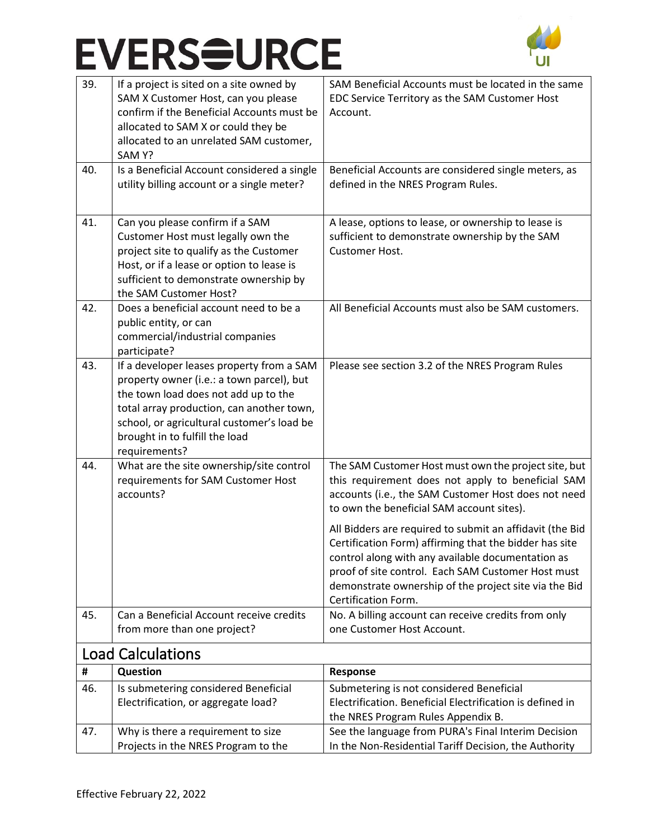

<span id="page-8-0"></span>

| 39. | If a project is sited on a site owned by<br>SAM X Customer Host, can you please<br>confirm if the Beneficial Accounts must be<br>allocated to SAM X or could they be<br>allocated to an unrelated SAM customer,<br>SAM <sub>Y?</sub>                                         | SAM Beneficial Accounts must be located in the same<br>EDC Service Territory as the SAM Customer Host<br>Account.                                                                                                                                                                                             |
|-----|------------------------------------------------------------------------------------------------------------------------------------------------------------------------------------------------------------------------------------------------------------------------------|---------------------------------------------------------------------------------------------------------------------------------------------------------------------------------------------------------------------------------------------------------------------------------------------------------------|
| 40. | Is a Beneficial Account considered a single<br>utility billing account or a single meter?                                                                                                                                                                                    | Beneficial Accounts are considered single meters, as<br>defined in the NRES Program Rules.                                                                                                                                                                                                                    |
| 41. | Can you please confirm if a SAM<br>Customer Host must legally own the<br>project site to qualify as the Customer<br>Host, or if a lease or option to lease is<br>sufficient to demonstrate ownership by<br>the SAM Customer Host?                                            | A lease, options to lease, or ownership to lease is<br>sufficient to demonstrate ownership by the SAM<br>Customer Host.                                                                                                                                                                                       |
| 42. | Does a beneficial account need to be a<br>public entity, or can<br>commercial/industrial companies<br>participate?                                                                                                                                                           | All Beneficial Accounts must also be SAM customers.                                                                                                                                                                                                                                                           |
| 43. | If a developer leases property from a SAM<br>property owner (i.e.: a town parcel), but<br>the town load does not add up to the<br>total array production, can another town,<br>school, or agricultural customer's load be<br>brought in to fulfill the load<br>requirements? | Please see section 3.2 of the NRES Program Rules                                                                                                                                                                                                                                                              |
| 44. | What are the site ownership/site control<br>requirements for SAM Customer Host<br>accounts?                                                                                                                                                                                  | The SAM Customer Host must own the project site, but<br>this requirement does not apply to beneficial SAM<br>accounts (i.e., the SAM Customer Host does not need<br>to own the beneficial SAM account sites).                                                                                                 |
|     |                                                                                                                                                                                                                                                                              | All Bidders are required to submit an affidavit (the Bid<br>Certification Form) affirming that the bidder has site<br>control along with any available documentation as<br>proof of site control. Each SAM Customer Host must<br>demonstrate ownership of the project site via the Bid<br>Certification Form. |
| 45. | Can a Beneficial Account receive credits<br>from more than one project?                                                                                                                                                                                                      | No. A billing account can receive credits from only<br>one Customer Host Account.                                                                                                                                                                                                                             |
|     | <b>Load Calculations</b>                                                                                                                                                                                                                                                     |                                                                                                                                                                                                                                                                                                               |
| #   | Question                                                                                                                                                                                                                                                                     | Response                                                                                                                                                                                                                                                                                                      |
| 46. | Is submetering considered Beneficial<br>Electrification, or aggregate load?                                                                                                                                                                                                  | Submetering is not considered Beneficial<br>Electrification. Beneficial Electrification is defined in<br>the NRES Program Rules Appendix B.                                                                                                                                                                   |
| 47. | Why is there a requirement to size<br>Projects in the NRES Program to the                                                                                                                                                                                                    | See the language from PURA's Final Interim Decision<br>In the Non-Residential Tariff Decision, the Authority                                                                                                                                                                                                  |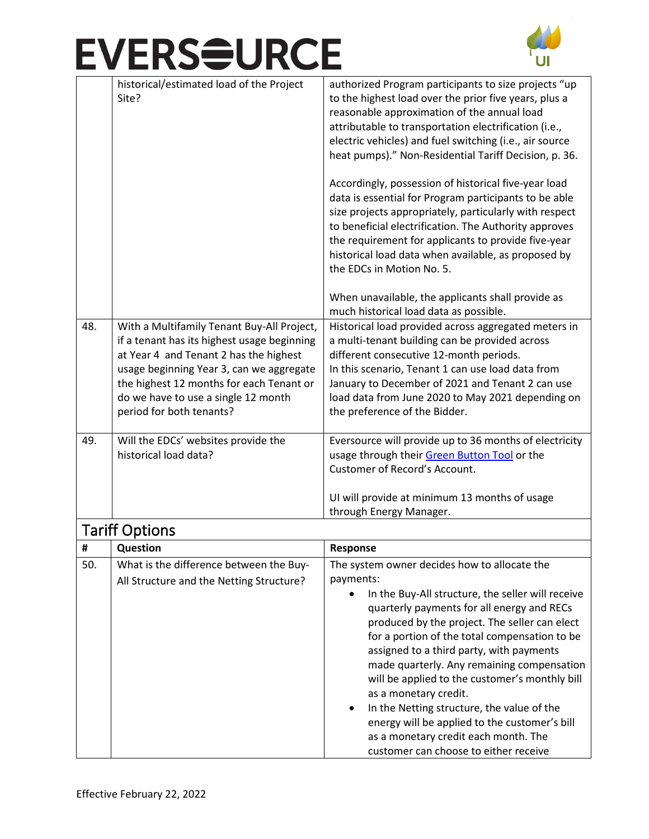

|     | historical/estimated load of the Project                     | authorized Program participants to size projects "up                                                   |
|-----|--------------------------------------------------------------|--------------------------------------------------------------------------------------------------------|
|     | Site?                                                        | to the highest load over the prior five years, plus a                                                  |
|     |                                                              | reasonable approximation of the annual load                                                            |
|     |                                                              | attributable to transportation electrification (i.e.,                                                  |
|     |                                                              | electric vehicles) and fuel switching (i.e., air source                                                |
|     |                                                              | heat pumps)." Non-Residential Tariff Decision, p. 36.                                                  |
|     |                                                              | Accordingly, possession of historical five-year load                                                   |
|     |                                                              | data is essential for Program participants to be able                                                  |
|     |                                                              | size projects appropriately, particularly with respect                                                 |
|     |                                                              | to beneficial electrification. The Authority approves                                                  |
|     |                                                              | the requirement for applicants to provide five-year                                                    |
|     |                                                              | historical load data when available, as proposed by                                                    |
|     |                                                              | the EDCs in Motion No. 5.                                                                              |
|     |                                                              |                                                                                                        |
|     |                                                              | When unavailable, the applicants shall provide as                                                      |
|     |                                                              | much historical load data as possible.                                                                 |
| 48. | With a Multifamily Tenant Buy-All Project,                   | Historical load provided across aggregated meters in                                                   |
|     | if a tenant has its highest usage beginning                  | a multi-tenant building can be provided across                                                         |
|     | at Year 4 and Tenant 2 has the highest                       | different consecutive 12-month periods.                                                                |
|     | usage beginning Year 3, can we aggregate                     | In this scenario, Tenant 1 can use load data from                                                      |
|     | the highest 12 months for each Tenant or                     | January to December of 2021 and Tenant 2 can use                                                       |
|     | do we have to use a single 12 month                          | load data from June 2020 to May 2021 depending on                                                      |
|     | period for both tenants?                                     | the preference of the Bidder.                                                                          |
| 49. |                                                              |                                                                                                        |
|     | Will the EDCs' websites provide the<br>historical load data? | Eversource will provide up to 36 months of electricity<br>usage through their Green Button Tool or the |
|     |                                                              | Customer of Record's Account.                                                                          |
|     |                                                              |                                                                                                        |
|     |                                                              | UI will provide at minimum 13 months of usage                                                          |
|     |                                                              | through Energy Manager.                                                                                |
|     | <b>Tariff Options</b>                                        |                                                                                                        |
| #   | Question                                                     | Response                                                                                               |
| 50. | What is the difference between the Buy-                      | The system owner decides how to allocate the                                                           |
|     |                                                              |                                                                                                        |

<span id="page-9-0"></span>

| 50. | What is the difference between the Buy-<br>All Structure and the Netting Structure? | The system owner decides how to allocate the<br>payments:                                                                                                                                                                                                                                                                                                                                                                         |
|-----|-------------------------------------------------------------------------------------|-----------------------------------------------------------------------------------------------------------------------------------------------------------------------------------------------------------------------------------------------------------------------------------------------------------------------------------------------------------------------------------------------------------------------------------|
|     |                                                                                     | In the Buy-All structure, the seller will receive<br>quarterly payments for all energy and RECs<br>produced by the project. The seller can elect<br>for a portion of the total compensation to be<br>assigned to a third party, with payments<br>made quarterly. Any remaining compensation<br>will be applied to the customer's monthly bill<br>as a monetary credit.<br>In the Netting structure, the value of the<br>$\bullet$ |
|     |                                                                                     | energy will be applied to the customer's bill<br>as a monetary credit each month. The                                                                                                                                                                                                                                                                                                                                             |
|     |                                                                                     | customer can choose to either receive                                                                                                                                                                                                                                                                                                                                                                                             |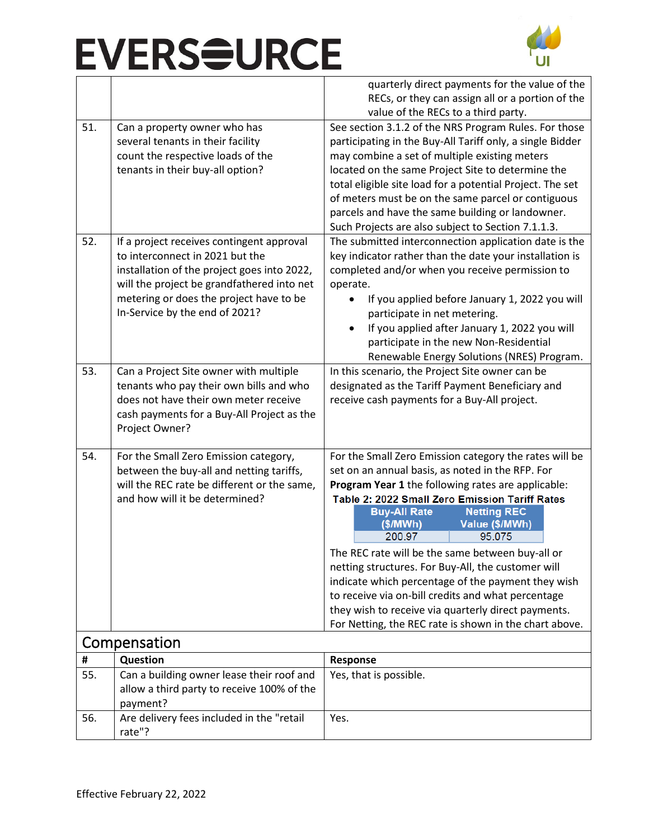

<span id="page-10-0"></span>

|     |                                             | quarterly direct payments for the value of the                                              |
|-----|---------------------------------------------|---------------------------------------------------------------------------------------------|
|     |                                             | RECs, or they can assign all or a portion of the                                            |
|     |                                             | value of the RECs to a third party.                                                         |
| 51. | Can a property owner who has                | See section 3.1.2 of the NRS Program Rules. For those                                       |
|     | several tenants in their facility           | participating in the Buy-All Tariff only, a single Bidder                                   |
|     | count the respective loads of the           | may combine a set of multiple existing meters                                               |
|     | tenants in their buy-all option?            | located on the same Project Site to determine the                                           |
|     |                                             | total eligible site load for a potential Project. The set                                   |
|     |                                             | of meters must be on the same parcel or contiguous                                          |
|     |                                             | parcels and have the same building or landowner.                                            |
|     |                                             | Such Projects are also subject to Section 7.1.1.3.                                          |
| 52. | If a project receives contingent approval   | The submitted interconnection application date is the                                       |
|     | to interconnect in 2021 but the             | key indicator rather than the date your installation is                                     |
|     | installation of the project goes into 2022, | completed and/or when you receive permission to                                             |
|     | will the project be grandfathered into net  | operate.                                                                                    |
|     | metering or does the project have to be     | If you applied before January 1, 2022 you will                                              |
|     | In-Service by the end of 2021?              | participate in net metering.                                                                |
|     |                                             | If you applied after January 1, 2022 you will                                               |
|     |                                             | participate in the new Non-Residential                                                      |
|     |                                             | Renewable Energy Solutions (NRES) Program.                                                  |
| 53. | Can a Project Site owner with multiple      | In this scenario, the Project Site owner can be                                             |
|     | tenants who pay their own bills and who     | designated as the Tariff Payment Beneficiary and                                            |
|     | does not have their own meter receive       | receive cash payments for a Buy-All project.                                                |
|     | cash payments for a Buy-All Project as the  |                                                                                             |
|     | Project Owner?                              |                                                                                             |
|     |                                             |                                                                                             |
| 54. | For the Small Zero Emission category,       | For the Small Zero Emission category the rates will be                                      |
|     | between the buy-all and netting tariffs,    | set on an annual basis, as noted in the RFP. For                                            |
|     | will the REC rate be different or the same, | Program Year 1 the following rates are applicable:                                          |
|     | and how will it be determined?              | Table 2: 2022 Small Zero Emission Tariff Rates<br><b>Buy-All Rate</b><br><b>Netting REC</b> |
|     |                                             | Value (\$/MWh)<br>(\$/MWh)                                                                  |
|     |                                             | 95.075<br>200.97                                                                            |
|     |                                             | The REC rate will be the same between buy-all or                                            |
|     |                                             | netting structures. For Buy-All, the customer will                                          |
|     |                                             | indicate which percentage of the payment they wish                                          |
|     |                                             | to receive via on-bill credits and what percentage                                          |
|     |                                             | they wish to receive via quarterly direct payments.                                         |
|     |                                             | For Netting, the REC rate is shown in the chart above.                                      |
|     | Compensation                                |                                                                                             |
| #   | Question                                    | Response                                                                                    |
| 55. | Can a building owner lease their roof and   | Yes, that is possible.                                                                      |
|     | allow a third party to receive 100% of the  |                                                                                             |
|     | payment?                                    |                                                                                             |
| 56. | Are delivery fees included in the "retail   | Yes.                                                                                        |
|     | rate"?                                      |                                                                                             |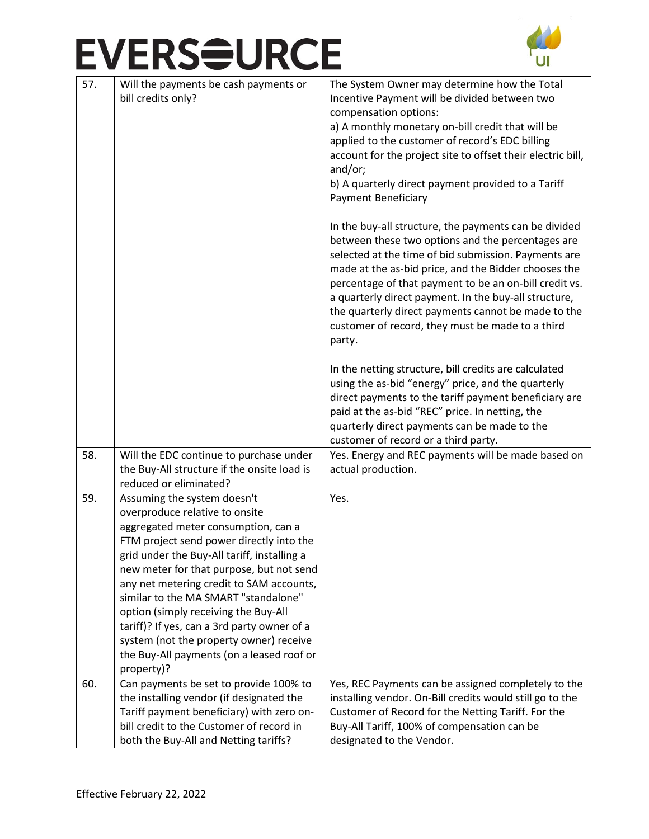

| 57. | Will the payments be cash payments or<br>bill credits only?                                                                                                                                                                                                                                                                                                                                                                                                                                                                  | The System Owner may determine how the Total<br>Incentive Payment will be divided between two<br>compensation options:<br>a) A monthly monetary on-bill credit that will be<br>applied to the customer of record's EDC billing<br>account for the project site to offset their electric bill,<br>and/or;<br>b) A quarterly direct payment provided to a Tariff<br><b>Payment Beneficiary</b>                                                                       |
|-----|------------------------------------------------------------------------------------------------------------------------------------------------------------------------------------------------------------------------------------------------------------------------------------------------------------------------------------------------------------------------------------------------------------------------------------------------------------------------------------------------------------------------------|--------------------------------------------------------------------------------------------------------------------------------------------------------------------------------------------------------------------------------------------------------------------------------------------------------------------------------------------------------------------------------------------------------------------------------------------------------------------|
|     |                                                                                                                                                                                                                                                                                                                                                                                                                                                                                                                              | In the buy-all structure, the payments can be divided<br>between these two options and the percentages are<br>selected at the time of bid submission. Payments are<br>made at the as-bid price, and the Bidder chooses the<br>percentage of that payment to be an on-bill credit vs.<br>a quarterly direct payment. In the buy-all structure,<br>the quarterly direct payments cannot be made to the<br>customer of record, they must be made to a third<br>party. |
|     |                                                                                                                                                                                                                                                                                                                                                                                                                                                                                                                              | In the netting structure, bill credits are calculated<br>using the as-bid "energy" price, and the quarterly<br>direct payments to the tariff payment beneficiary are<br>paid at the as-bid "REC" price. In netting, the<br>quarterly direct payments can be made to the<br>customer of record or a third party.                                                                                                                                                    |
| 58. | Will the EDC continue to purchase under<br>the Buy-All structure if the onsite load is<br>reduced or eliminated?                                                                                                                                                                                                                                                                                                                                                                                                             | Yes. Energy and REC payments will be made based on<br>actual production.                                                                                                                                                                                                                                                                                                                                                                                           |
| 59. | Assuming the system doesn't<br>overproduce relative to onsite<br>aggregated meter consumption, can a<br>FTM project send power directly into the<br>grid under the Buy-All tariff, installing a<br>new meter for that purpose, but not send<br>any net metering credit to SAM accounts,<br>similar to the MA SMART "standalone"<br>option (simply receiving the Buy-All<br>tariff)? If yes, can a 3rd party owner of a<br>system (not the property owner) receive<br>the Buy-All payments (on a leased roof or<br>property)? | Yes.                                                                                                                                                                                                                                                                                                                                                                                                                                                               |
| 60. | Can payments be set to provide 100% to<br>the installing vendor (if designated the<br>Tariff payment beneficiary) with zero on-<br>bill credit to the Customer of record in<br>both the Buy-All and Netting tariffs?                                                                                                                                                                                                                                                                                                         | Yes, REC Payments can be assigned completely to the<br>installing vendor. On-Bill credits would still go to the<br>Customer of Record for the Netting Tariff. For the<br>Buy-All Tariff, 100% of compensation can be<br>designated to the Vendor.                                                                                                                                                                                                                  |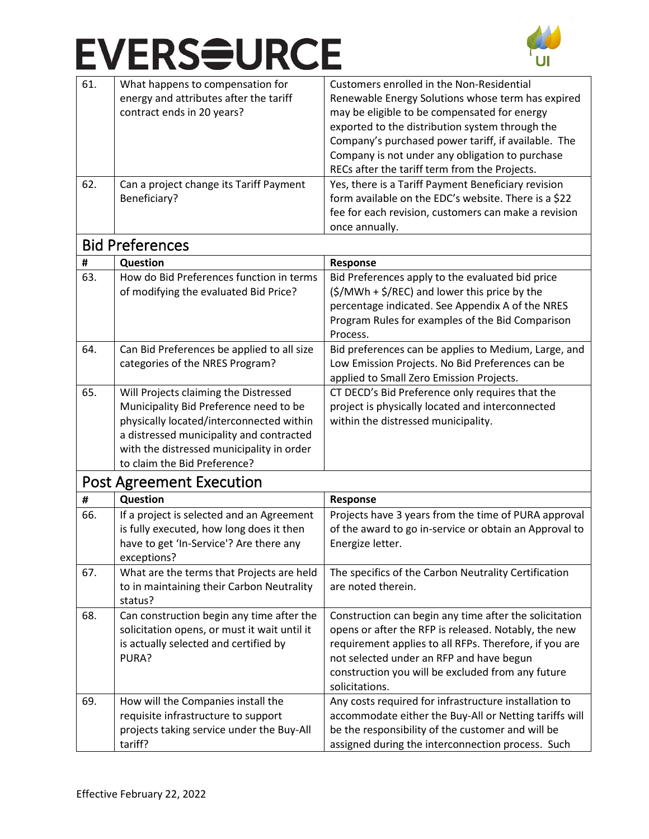

<span id="page-12-1"></span><span id="page-12-0"></span>

| 61. | What happens to compensation for<br>energy and attributes after the tariff<br>contract ends in 20 years?                                                                                                                                             | Customers enrolled in the Non-Residential<br>Renewable Energy Solutions whose term has expired<br>may be eligible to be compensated for energy<br>exported to the distribution system through the<br>Company's purchased power tariff, if available. The<br>Company is not under any obligation to purchase<br>RECs after the tariff term from the Projects. |  |  |
|-----|------------------------------------------------------------------------------------------------------------------------------------------------------------------------------------------------------------------------------------------------------|--------------------------------------------------------------------------------------------------------------------------------------------------------------------------------------------------------------------------------------------------------------------------------------------------------------------------------------------------------------|--|--|
| 62. | Can a project change its Tariff Payment<br>Beneficiary?                                                                                                                                                                                              | Yes, there is a Tariff Payment Beneficiary revision<br>form available on the EDC's website. There is a \$22<br>fee for each revision, customers can make a revision<br>once annually.                                                                                                                                                                        |  |  |
|     | <b>Bid Preferences</b>                                                                                                                                                                                                                               |                                                                                                                                                                                                                                                                                                                                                              |  |  |
| #   | Question                                                                                                                                                                                                                                             | Response                                                                                                                                                                                                                                                                                                                                                     |  |  |
| 63. | How do Bid Preferences function in terms<br>of modifying the evaluated Bid Price?                                                                                                                                                                    | Bid Preferences apply to the evaluated bid price<br>$(\frac{2}{3})$ MWh + $\frac{2}{3}$ /REC) and lower this price by the<br>percentage indicated. See Appendix A of the NRES<br>Program Rules for examples of the Bid Comparison<br>Process.                                                                                                                |  |  |
| 64. | Can Bid Preferences be applied to all size<br>categories of the NRES Program?                                                                                                                                                                        | Bid preferences can be applies to Medium, Large, and<br>Low Emission Projects. No Bid Preferences can be<br>applied to Small Zero Emission Projects.                                                                                                                                                                                                         |  |  |
| 65. | Will Projects claiming the Distressed<br>Municipality Bid Preference need to be<br>physically located/interconnected within<br>a distressed municipality and contracted<br>with the distressed municipality in order<br>to claim the Bid Preference? | CT DECD's Bid Preference only requires that the<br>project is physically located and interconnected<br>within the distressed municipality.                                                                                                                                                                                                                   |  |  |
|     | <b>Post Agreement Execution</b>                                                                                                                                                                                                                      |                                                                                                                                                                                                                                                                                                                                                              |  |  |
| #   | Question                                                                                                                                                                                                                                             | Response                                                                                                                                                                                                                                                                                                                                                     |  |  |
| 66. | If a project is selected and an Agreement<br>is fully executed, how long does it then<br>have to get 'In-Service'? Are there any<br>exceptions?                                                                                                      | Projects have 3 years from the time of PURA approval<br>of the award to go in-service or obtain an Approval to<br>Energize letter.                                                                                                                                                                                                                           |  |  |
| 67. | What are the terms that Projects are held<br>to in maintaining their Carbon Neutrality<br>status?                                                                                                                                                    | The specifics of the Carbon Neutrality Certification<br>are noted therein.                                                                                                                                                                                                                                                                                   |  |  |
| 68. | Can construction begin any time after the<br>solicitation opens, or must it wait until it<br>is actually selected and certified by<br>PURA?                                                                                                          | Construction can begin any time after the solicitation<br>opens or after the RFP is released. Notably, the new<br>requirement applies to all RFPs. Therefore, if you are<br>not selected under an RFP and have begun<br>construction you will be excluded from any future<br>solicitations.                                                                  |  |  |
| 69. | How will the Companies install the<br>requisite infrastructure to support<br>projects taking service under the Buy-All<br>tariff?                                                                                                                    | Any costs required for infrastructure installation to<br>accommodate either the Buy-All or Netting tariffs will<br>be the responsibility of the customer and will be<br>assigned during the interconnection process. Such                                                                                                                                    |  |  |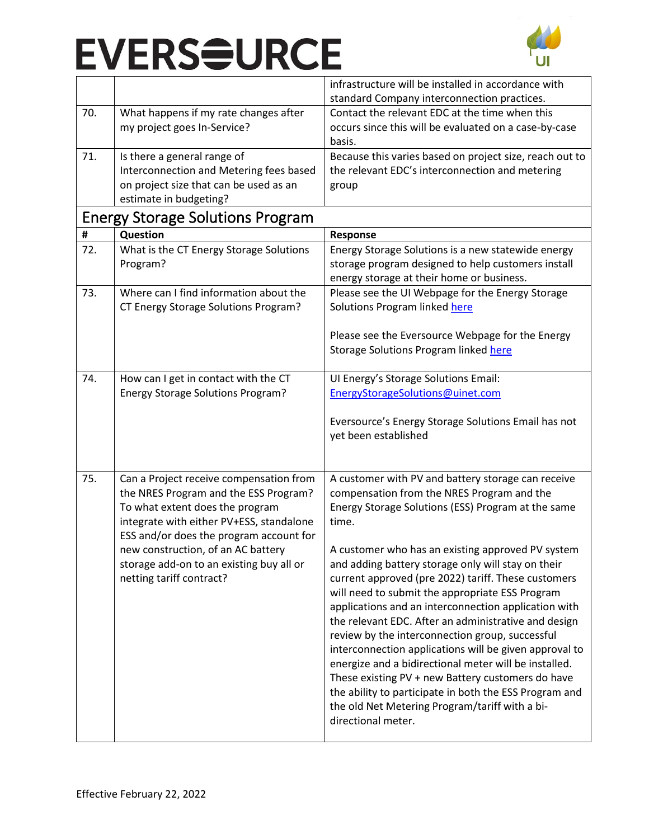

<span id="page-13-0"></span>

|     |                                          | infrastructure will be installed in accordance with                                                                                                                                                                                                                                                                                                                                         |
|-----|------------------------------------------|---------------------------------------------------------------------------------------------------------------------------------------------------------------------------------------------------------------------------------------------------------------------------------------------------------------------------------------------------------------------------------------------|
|     |                                          | standard Company interconnection practices.                                                                                                                                                                                                                                                                                                                                                 |
| 70. | What happens if my rate changes after    | Contact the relevant EDC at the time when this                                                                                                                                                                                                                                                                                                                                              |
|     | my project goes In-Service?              | occurs since this will be evaluated on a case-by-case<br>basis.                                                                                                                                                                                                                                                                                                                             |
| 71. | Is there a general range of              | Because this varies based on project size, reach out to                                                                                                                                                                                                                                                                                                                                     |
|     | Interconnection and Metering fees based  | the relevant EDC's interconnection and metering                                                                                                                                                                                                                                                                                                                                             |
|     | on project size that can be used as an   | group                                                                                                                                                                                                                                                                                                                                                                                       |
|     | estimate in budgeting?                   |                                                                                                                                                                                                                                                                                                                                                                                             |
|     | <b>Energy Storage Solutions Program</b>  |                                                                                                                                                                                                                                                                                                                                                                                             |
| #   | Question                                 | Response                                                                                                                                                                                                                                                                                                                                                                                    |
| 72. | What is the CT Energy Storage Solutions  | Energy Storage Solutions is a new statewide energy                                                                                                                                                                                                                                                                                                                                          |
|     | Program?                                 | storage program designed to help customers install                                                                                                                                                                                                                                                                                                                                          |
|     |                                          | energy storage at their home or business.                                                                                                                                                                                                                                                                                                                                                   |
| 73. | Where can I find information about the   | Please see the UI Webpage for the Energy Storage                                                                                                                                                                                                                                                                                                                                            |
|     | CT Energy Storage Solutions Program?     | Solutions Program linked here                                                                                                                                                                                                                                                                                                                                                               |
|     |                                          |                                                                                                                                                                                                                                                                                                                                                                                             |
|     |                                          | Please see the Eversource Webpage for the Energy                                                                                                                                                                                                                                                                                                                                            |
|     |                                          | Storage Solutions Program linked here                                                                                                                                                                                                                                                                                                                                                       |
| 74. | How can I get in contact with the CT     | UI Energy's Storage Solutions Email:                                                                                                                                                                                                                                                                                                                                                        |
|     | <b>Energy Storage Solutions Program?</b> | EnergyStorageSolutions@uinet.com                                                                                                                                                                                                                                                                                                                                                            |
|     |                                          |                                                                                                                                                                                                                                                                                                                                                                                             |
|     |                                          | Eversource's Energy Storage Solutions Email has not                                                                                                                                                                                                                                                                                                                                         |
|     |                                          | yet been established                                                                                                                                                                                                                                                                                                                                                                        |
|     |                                          |                                                                                                                                                                                                                                                                                                                                                                                             |
| 75. | Can a Project receive compensation from  | A customer with PV and battery storage can receive                                                                                                                                                                                                                                                                                                                                          |
|     | the NRES Program and the ESS Program?    | compensation from the NRES Program and the                                                                                                                                                                                                                                                                                                                                                  |
|     | To what extent does the program          | Energy Storage Solutions (ESS) Program at the same                                                                                                                                                                                                                                                                                                                                          |
|     | integrate with either PV+ESS, standalone | time.                                                                                                                                                                                                                                                                                                                                                                                       |
|     | ESS and/or does the program account for  |                                                                                                                                                                                                                                                                                                                                                                                             |
|     | new construction, of an AC battery       | A customer who has an existing approved PV system                                                                                                                                                                                                                                                                                                                                           |
|     | storage add-on to an existing buy all or | and adding battery storage only will stay on their                                                                                                                                                                                                                                                                                                                                          |
|     | netting tariff contract?                 | current approved (pre 2022) tariff. These customers                                                                                                                                                                                                                                                                                                                                         |
|     |                                          | will need to submit the appropriate ESS Program                                                                                                                                                                                                                                                                                                                                             |
|     |                                          | applications and an interconnection application with                                                                                                                                                                                                                                                                                                                                        |
|     |                                          |                                                                                                                                                                                                                                                                                                                                                                                             |
|     |                                          |                                                                                                                                                                                                                                                                                                                                                                                             |
|     |                                          |                                                                                                                                                                                                                                                                                                                                                                                             |
|     |                                          |                                                                                                                                                                                                                                                                                                                                                                                             |
|     |                                          |                                                                                                                                                                                                                                                                                                                                                                                             |
|     |                                          |                                                                                                                                                                                                                                                                                                                                                                                             |
|     |                                          | directional meter.                                                                                                                                                                                                                                                                                                                                                                          |
|     |                                          |                                                                                                                                                                                                                                                                                                                                                                                             |
|     |                                          | the relevant EDC. After an administrative and design<br>review by the interconnection group, successful<br>interconnection applications will be given approval to<br>energize and a bidirectional meter will be installed.<br>These existing PV + new Battery customers do have<br>the ability to participate in both the ESS Program and<br>the old Net Metering Program/tariff with a bi- |
|     |                                          |                                                                                                                                                                                                                                                                                                                                                                                             |